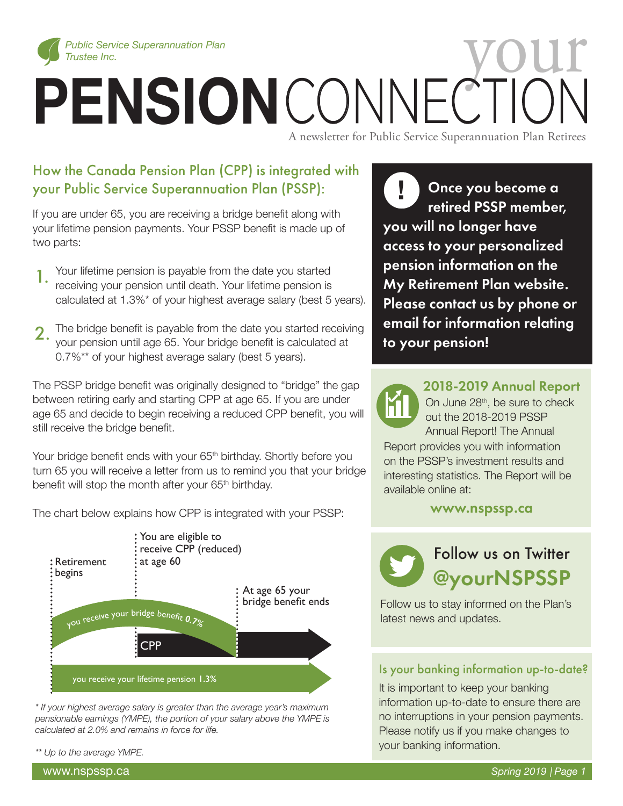

# *Public Service Superannuation Plan*<br> **PENSION** CONNECTION CONNECTION

A newsletter for Public Service Superannuation Plan Retirees

## How the Canada Pension Plan (CPP) is integrated with your Public Service Superannuation Plan (PSSP):

If you are under 65, you are receiving a bridge benefit along with your lifetime pension payments. Your PSSP benefit is made up of two parts:

- Your lifetime pension is payable from the date you started receiving your pension until death. Your lifetime pension is calculated at 1.3%\* of your highest average salary (best 5 years). 1.
- The bridge benefit is payable from the date you started receiving your pension until age 65. Your bridge benefit is calculated at 0.7%\*\* of your highest average salary (best 5 years). 2.

The PSSP bridge benefit was originally designed to "bridge" the gap between retiring early and starting CPP at age 65. If you are under age 65 and decide to begin receiving a reduced CPP benefit, you will still receive the bridge benefit.

Your bridge benefit ends with your 65<sup>th</sup> birthday. Shortly before you turn 65 you will receive a letter from us to remind you that your bridge benefit will stop the month after your 65<sup>th</sup> birthday.

The chart below explains how CPP is integrated with your PSSP:



*\* If your highest average salary is greater than the average year's maximum pensionable earnings (YMPE), the portion of your salary above the YMPE is calculated at 2.0% and remains in force for life.*

*\*\* Up to the average YMPE.*

Once you become a retired PSSP member, you will no longer have access to your personalized pension information on the My Retirement Plan website. Please contact us by phone or email for information relating to your pension! **!**

> 2018-2019 Annual Report On June 28<sup>th</sup>, be sure to check out the 2018-2019 PSSP Annual Report! The Annual

Report provides you with information on the PSSP's investment results and interesting statistics. The Report will be available online at:

www.nspssp.ca



Follow us to stay informed on the Plan's latest news and updates.

### Is your banking information up-to-date?

It is important to keep your banking information up-to-date to ensure there are no interruptions in your pension payments. Please notify us if you make changes to your banking information.